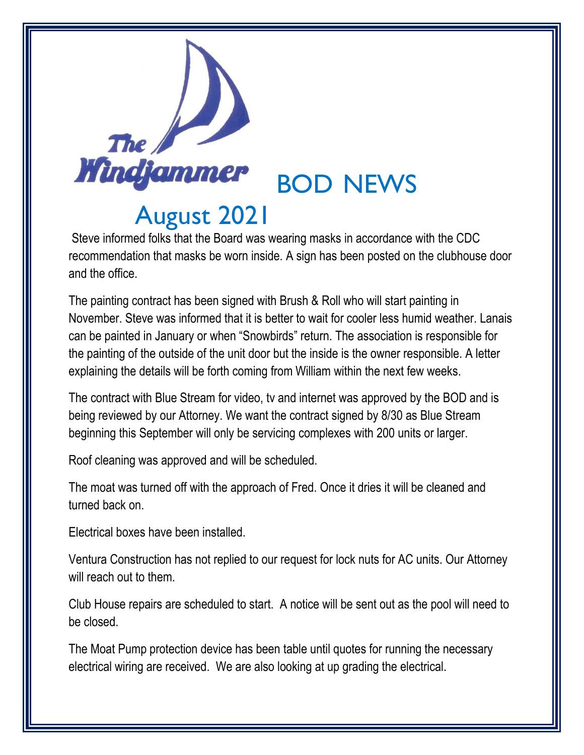

Steve informed folks that the Board was wearing masks in accordance with the CDC recommendation that masks be worn inside. A sign has been posted on the clubhouse door and the office.

The painting contract has been signed with Brush & Roll who will start painting in November. Steve was informed that it is better to wait for cooler less humid weather. Lanais can be painted in January or when "Snowbirds" return. The association is responsible for the painting of the outside of the unit door but the inside is the owner responsible. A letter explaining the details will be forth coming from William within the next few weeks.

The contract with Blue Stream for video, tv and internet was approved by the BOD and is being reviewed by our Attorney. We want the contract signed by 8/30 as Blue Stream beginning this September will only be servicing complexes with 200 units or larger.

Roof cleaning was approved and will be scheduled.

The moat was turned off with the approach of Fred. Once it dries it will be cleaned and turned back on.

Electrical boxes have been installed.

Ventura Construction has not replied to our request for lock nuts for AC units. Our Attorney will reach out to them.

Club House repairs are scheduled to start. A notice will be sent out as the pool will need to be closed.

The Moat Pump protection device has been table until quotes for running the necessary electrical wiring are received. We are also looking at up grading the electrical.